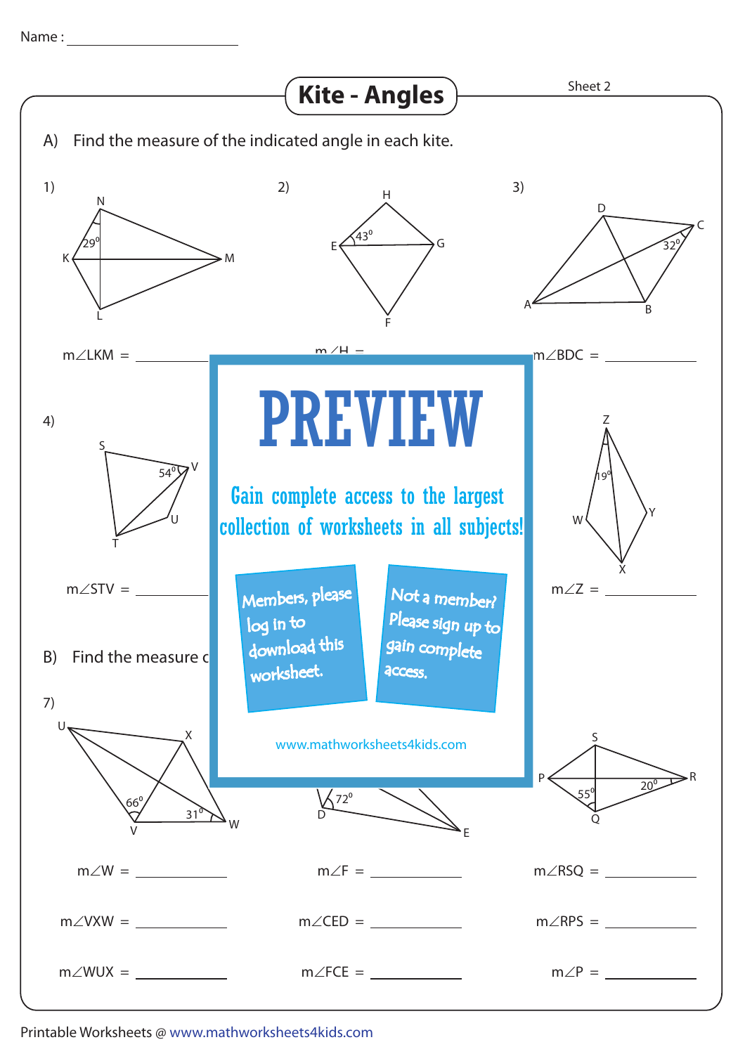